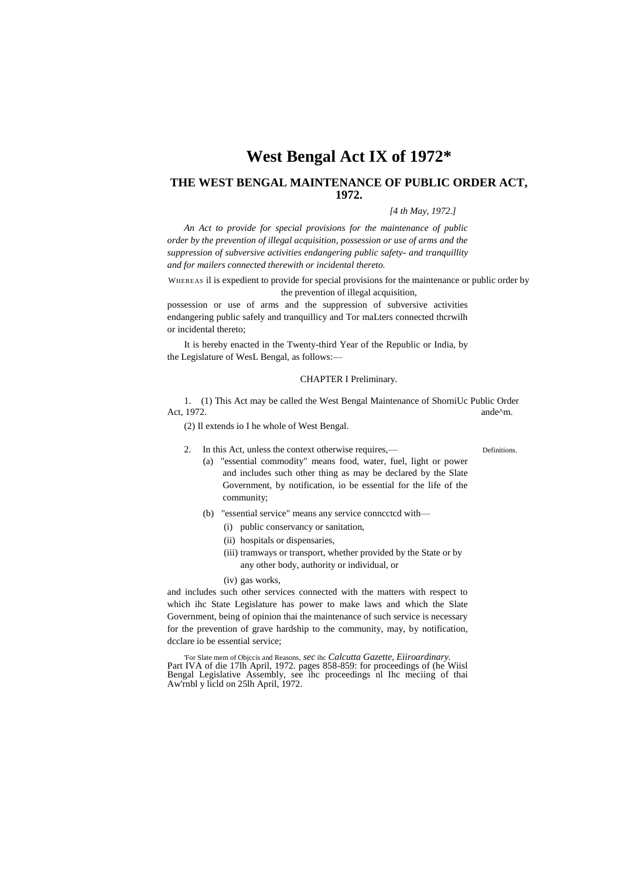# **West Bengal Act IX of 1972\***

## **THE WEST BENGAL MAINTENANCE OF PUBLIC ORDER ACT, 1972.**

#### *[4 th May, 1972.]*

*An Act to provide for special provisions for the maintenance of public order by the prevention of illegal acquisition, possession or use of arms and the suppression of subversive activities endangering public safety- and tranquillity and for mailers connected therewith or incidental thereto.*

WHEREAS il is expedient to provide for special provisions for the maintenance or public order by the prevention of illegal acquisition,

possession or use of arms and the suppression of subversive activities endangering public safely and tranquillicy and Tor maLters connected thcrwilh or incidental thereto;

It is hereby enacted in the Twenty-third Year of the Republic or India, by the Legislature of WesL Bengal, as follows:—

#### CHAPTER I Preliminary.

1. (1) This Act may be called the West Bengal Maintenance of ShorniUc Public Order Act, 1972. **ande<sup>^</sup>m.** and **a** 

(2) Il extends io I he whole of West Bengal.

2. In this Act, unless the context otherwise requires,—

- (a) "essential commodity" means food, water, fuel, light or power and includes such other thing as may be declared by the Slate Government, by notification, io be essential for the life of the community;
- (b) "essential service" means any service conncctcd with—
	- (i) public conservancy or sanitation,
	- (ii) hospitals or dispensaries,
	- (iii) tramways or transport, whether provided by the State or by any other body, authority or individual, or
	- (iv) gas works,

and includes such other services connected with the matters with respect to which ihc State Legislature has power to make laws and which the Slate Government, being of opinion thai the maintenance of such service is necessary for the prevention of grave hardship to the community, may, by notification, dcclare io be essential service;

'For Slate mem of Objccis and Reasons, *sec* ihc *Calcutta Gazette, Eiiroardinary.* Part IVA of die 17lh April, 1972. pages 858-859: for proceedings of (he Wiisl Bengal Legislative Assembly, see ihc proceedings nl Ihc meciing of thai Aw'rnbl y licld on 25lh April, 1972.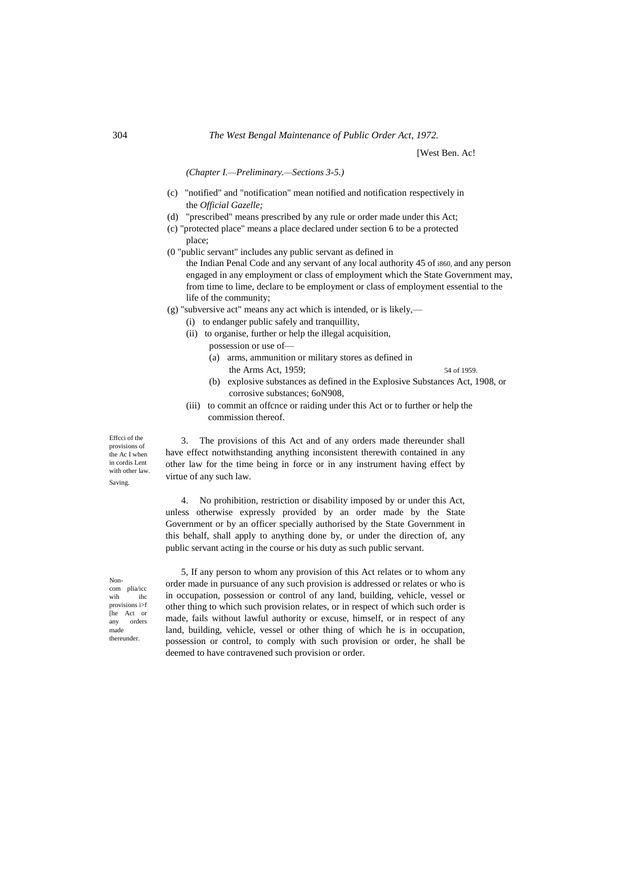*(Chapter I.—Preliminary.—Sections 3-5.)*

- (c) "notified" and "notification" mean notified and notification respectively in the *Official Gazelle;*
- (d) "prescribed" means prescribed by any rule or order made under this Act;
- (c) "protected place" means a place declared under section 6 to be a protected place;
- (0 "public servant" includes any public servant as defined in the Indian Penal Code and any servant of any local authority 45 of i860, and any person engaged in any employment or class of employment which the State Government may, from time to lime, declare to be employment or class of employment essential to the life of the community;
- (g) "subversive act" means any act which is intended, or is likely,—
	- (i) to endanger public safely and tranquillity,
		- (ii) to organise, further or help the illegal acquisition,
			- possession or use of—
			- (a) arms, ammunition or military stores as defined in
				- the Arms Act, 1959; 54 of 1959.
					-
			- (b) explosive substances as defined in the Explosive Substances Act, 1908, or corrosive substances; 6oN908,
		- (iii) to commit an offcnce or raiding under this Act or to further or help the commission thereof.

3. The provisions of this Act and of any orders made thereunder shall have effect notwithstanding anything inconsistent therewith contained in any other law for the time being in force or in any instrument having effect by virtue of any such law.

4. No prohibition, restriction or disability imposed by or under this Act, unless otherwise expressly provided by an order made by the State Government or by an officer specially authorised by the State Government in this behalf, shall apply to anything done by, or under the direction of, any public servant acting in the course or his duty as such public servant.

Noncom plia/icc wih ihc provisions i>f [he Act or any orders made thereunder.

Effcci of the provisions of the Ac I when in cordis Lent with other law. Saving.

> 5, If any person to whom any provision of this Act relates or to whom any order made in pursuance of any such provision is addressed or relates or who is in occupation, possession or control of any land, building, vehicle, vessel or other thing to which such provision relates, or in respect of which such order is made, fails without lawful authority or excuse, himself, or in respect of any land, building, vehicle, vessel or other thing of which he is in occupation, possession or control, to comply with such provision or order, he shall be deemed to have contravened such provision or order.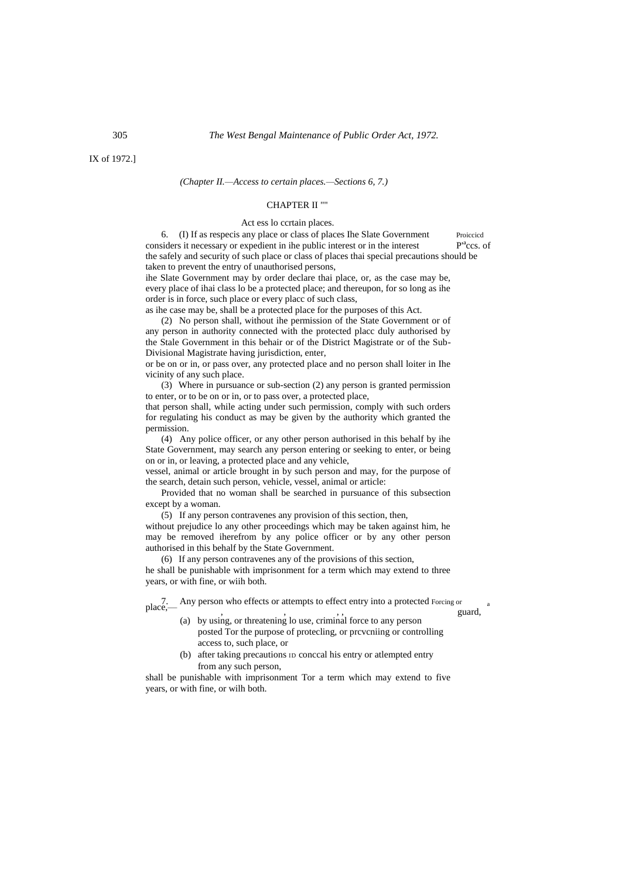305 *The West Bengal Maintenance of Public Order Act, 1972.*

#### *(Chapter II.—Access to certain places.—Sections 6, 7.)*

#### CHAPTER II ""

#### Act ess lo ccrtain places.

6. (I) If as respecis any place or class of places Ihe Slate Government Proiccicd considers it necessary or expedient in ihe public interest or in the interest the safely and security of such place or class of places thai special precautions should be taken to prevent the entry of unauthorised persons,

ihe Slate Government may by order declare thai place, or, as the case may be, every place of ihai class lo be a protected place; and thereupon, for so long as ihe order is in force, such place or every placc of such class,

as ihe case may be, shall be a protected place for the purposes of this Act.

(2) No person shall, without ihe permission of the State Government or of any person in authority connected with the protected placc duly authorised by the Stale Government in this behair or of the District Magistrate or of the Sub-Divisional Magistrate having jurisdiction, enter,

or be on or in, or pass over, any protected place and no person shall loiter in Ihe vicinity of any such place.

(3) Where in pursuance or sub-section (2) any person is granted permission to enter, or to be on or in, or to pass over, a protected place,

that person shall, while acting under such permission, comply with such orders for regulating his conduct as may be given by the authority which granted the permission.

(4) Any police officer, or any other person authorised in this behalf by ihe State Government, may search any person entering or seeking to enter, or being on or in, or leaving, a protected place and any vehicle,

vessel, animal or article brought in by such person and may, for the purpose of the search, detain such person, vehicle, vessel, animal or article:

Provided that no woman shall be searched in pursuance of this subsection except by a woman.

(5) If any person contravenes any provision of this section, then,

without prejudice lo any other proceedings which may be taken against him, he may be removed iherefrom by any police officer or by any other person authorised in this behalf by the State Government.

(6) If any person contravenes any of the provisions of this section, he shall be punishable with imprisonment for a term which may extend to three years, or with fine, or wiih both.

place,—Any person who effects or attempts to effect entry into a protected Forcing or place,—<br>
, , , guard,

- (a) by using, or threatening lo use, criminal force to any person posted Tor the purpose of protecling, or prcvcniing or controlling access to, such place, or
- (b) after taking precautions ID conccal his entry or atlempted entry from any such person,

shall be punishable with imprisonment Tor a term which may extend to five years, or with fine, or wilh both.

P<sup>a</sup>ccs. of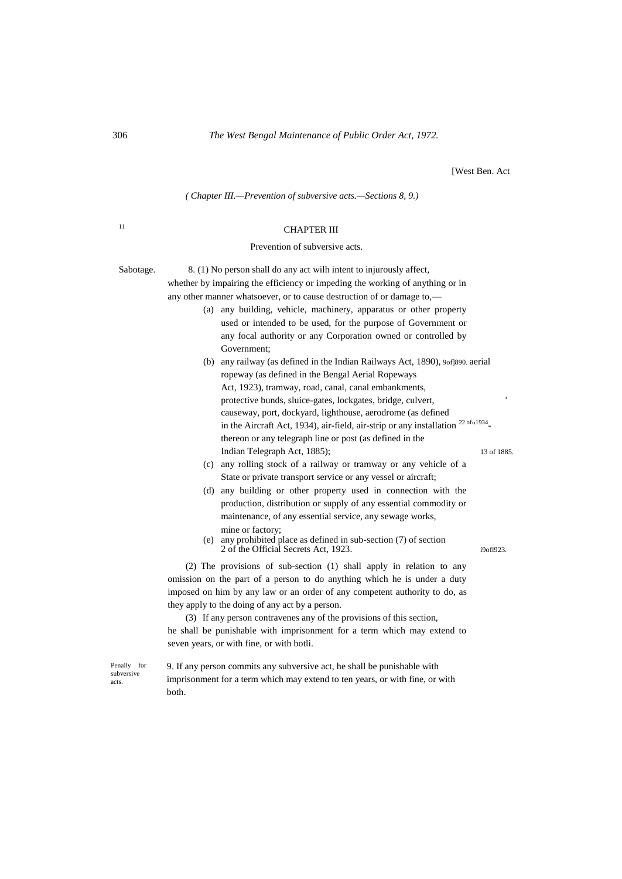*( Chapter III.—Prevention of subversive acts.—Sections 8, 9.)*

## <sup>11</sup> CHAPTER III

#### Prevention of subversive acts.

Sabotage. 8. (1) No person shall do any act will intent to injurously affect, whether by impairing the efficiency or impeding the working of anything or in any other manner whatsoever, or to cause destruction of or damage to,—

- (a) any building, vehicle, machinery, apparatus or other property used or intended to be used, for the purpose of Government or any focal authority or any Corporation owned or controlled by Government;
- (b) any railway (as defined in the Indian Railways Act, 1890), 9of]890. aerial ropeway (as defined in the Bengal Aerial Ropeways Act, 1923), tramway, road, canal, canal embankments, protective bunds, sluice-gates, lockgates, bridge, culvert, ' causeway, port, dockyard, lighthouse, aerodrome (as defined in the Aircraft Act, 1934), air-field, air-strip or any installation  $2^{2.0 \text{fm}1934}$ thereon or any telegraph line or post (as defined in the Indian Telegraph Act, 1885); 13 of 1885.

- (c) any rolling stock of a railway or tramway or any vehicle of a State or private transport service or any vessel or aircraft;
- (d) any building or other property used in connection with the production, distribution or supply of any essential commodity or maintenance, of any essential service, any sewage works, mine or factory;
- (e) any prohibited place as defined in sub-section (7) of section 2 of the Official Secrets Act, 1923. i9ofl923

(2) The provisions of sub-section (1) shall apply in relation to any omission on the part of a person to do anything which he is under a duty imposed on him by any law or an order of any competent authority to do, as they apply to the doing of any act by a person.

(3) If any person contravenes any of the provisions of this section, he shall be punishable with imprisonment for a term which may extend to seven years, or with fine, or with botli.

Penally for subversive acts.

9. If any person commits any subversive act, he shall be punishable with imprisonment for a term which may extend to ten years, or with fine, or with both.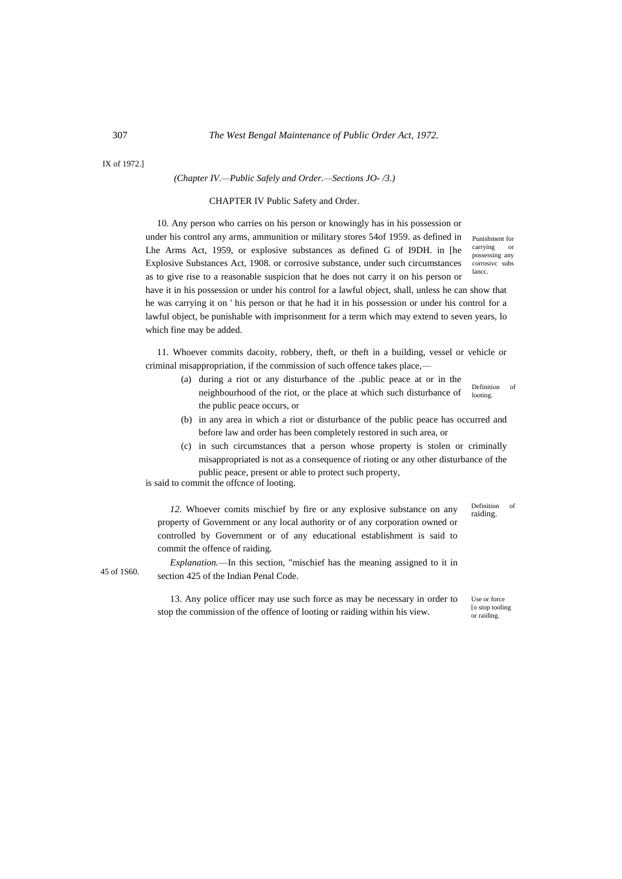IX of 1972.]

#### *(Chapter IV.—Public Safely and Order.—Sections JO- /3.)*

#### CHAPTER IV Public Safety and Order.

10. Any person who carries on his person or knowingly has in his possession or under his control any arms, ammunition or military stores 54of 1959. as defined in Lhe Arms Act, 1959, or explosive substances as defined G of I9DH. in [he Explosive Substances Act, 1908. or corrosive substance, under such circumstances as to give rise to a reasonable suspicion that he does not carry it on his person or

Punishment for carrying possessing any corrosivc subs lancc.

have it in his possession or under his control for a lawful object, shall, unless he can show that he was carrying it on ' his person or that he had it in his possession or under his control for a lawful object, be punishable with imprisonment for a term which may extend to seven years, lo which fine may be added.

11. Whoever commits dacoity, robbery, theft, or theft in a building, vessel or vehicle or criminal misappropriation, if the commission of such offence takes place,—

- (a) during a riot or any disturbance of the .public peace at or in the neighbourhood of the riot, or the place at which such disturbance of the public peace occurs, or
- (b) in any area in which a riot or disturbance of the public peace has occurred and before law and order has been completely restored in such area, or
- (c) in such circumstances that a person whose property is stolen or criminally misappropriated is not as a consequence of rioting or any other disturbance of the public peace, present or able to protect such property,

is said to commit the offcnce of looting.

*12.* Whoever comits mischief by fire or any explosive substance on any property of Government or any local authority or of any corporation owned or controlled by Government or of any educational establishment is said to commit the offence of raiding.

45 of 1S60.

*Explanation.*—In this section, "mischief has the meaning assigned to it in section 425 of the Indian Penal Code.

13. Any police officer may use such force as may be necessary in order to stop the commission of the offence of looting or raiding within his view.

Definition of raiding.

Definition of looting.

Use or force [o stop tooling or raiding.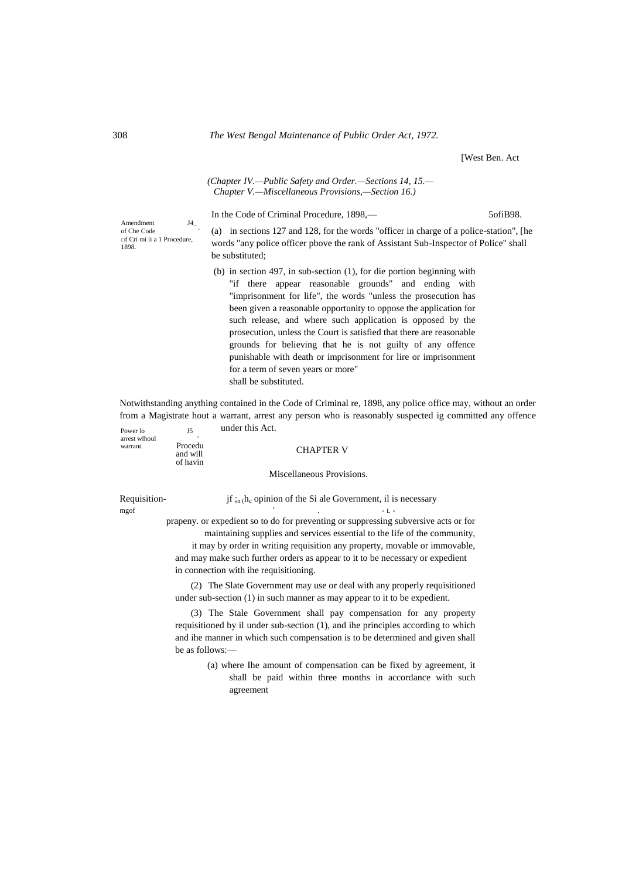#### *(Chapter IV.—Public Safety and Order.—Sections 14, 15.— Chapter V.—Miscellaneous Provisions,—Section 16.)*

In the Code of Criminal Procedure, 1898,— 5ofiB98.

Amendment J4\_ of Che Code ' □f Cri mi ii a 1 Procedure, 1898.

(a) in sections 127 and 128, for the words "officer in charge of a police-station", [he words "any police officer pbove the rank of Assistant Sub-Inspector of Police" shall be substituted;

(b) in section 497, in sub-section (1), for die portion beginning with "if there appear reasonable grounds" and ending with "imprisonment for life", the words "unless the prosecution has been given a reasonable opportunity to oppose the application for such release, and where such application is opposed by the prosecution, unless the Court is satisfied that there are reasonable grounds for believing that he is not guilty of any offence punishable with death or imprisonment for lire or imprisonment for a term of seven years or more" shall be substituted.

Power lo J5 Notwithstanding anything contained in the Code of Criminal re, 1898, any police office may, without an order from a Magistrate hout a warrant, arrest any person who is reasonably suspected ig committed any offence under this Act.

| arrest wlhoul<br>warrant. | Procedu<br>and will<br>of havin                                                                                                                                                                                                                                                                                                                                           | <b>CHAPTER V</b>                                                                                                                                                                                                                      |
|---------------------------|---------------------------------------------------------------------------------------------------------------------------------------------------------------------------------------------------------------------------------------------------------------------------------------------------------------------------------------------------------------------------|---------------------------------------------------------------------------------------------------------------------------------------------------------------------------------------------------------------------------------------|
|                           |                                                                                                                                                                                                                                                                                                                                                                           | Miscellaneous Provisions.                                                                                                                                                                                                             |
| Requisition-<br>mgof      |                                                                                                                                                                                                                                                                                                                                                                           | jf ; <sub>n</sub> (h <sub>c</sub> opinion of the Si ale Government, il is necessary<br>$-1. -$                                                                                                                                        |
|                           | prapeny, or expedient so to do for preventing or suppressing subversive acts or for<br>maintaining supplies and services essential to the life of the community,<br>it may by order in writing requisition any property, movable or immovable,<br>and may make such further orders as appear to it to be necessary or expedient<br>in connection with the requisitioning. |                                                                                                                                                                                                                                       |
|                           |                                                                                                                                                                                                                                                                                                                                                                           | (2) The Slate Government may use or deal with any properly requisitioned<br>under sub-section (1) in such manner as may appear to it to be expedient.                                                                                 |
|                           |                                                                                                                                                                                                                                                                                                                                                                           | (3) The Stale Government shall pay compensation for any property<br>requisitioned by il under sub-section (1), and ihe principles according to which<br>and ihe manner in which such compensation is to be determined and given shall |

agreement

be as follows:— (a) where Ihe amount of compensation can be fixed by agreement, it shall be paid within three months in accordance with such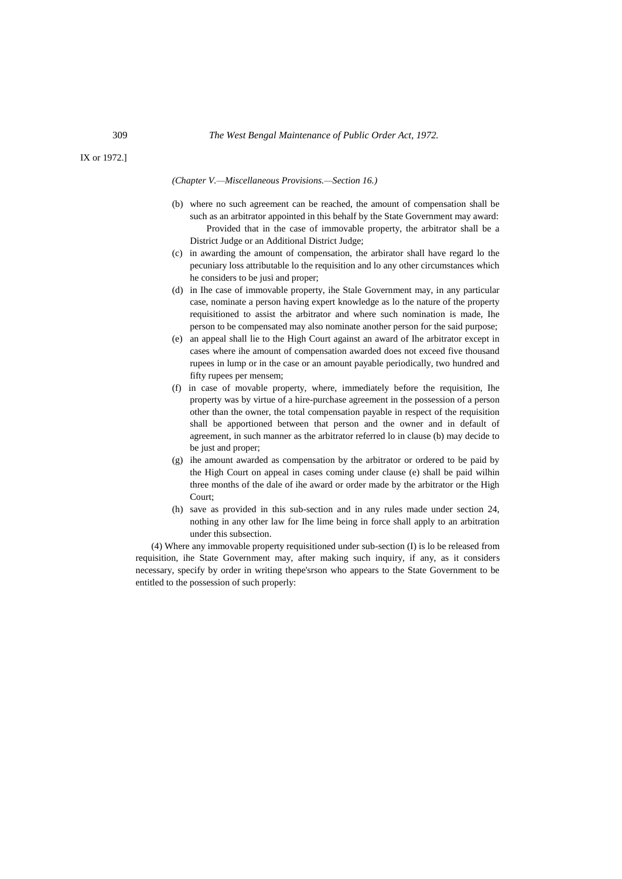IX or 1972.]

*(Chapter V.—Miscellaneous Provisions.—Section 16.)*

- (b) where no such agreement can be reached, the amount of compensation shall be such as an arbitrator appointed in this behalf by the State Government may award: Provided that in the case of immovable property, the arbitrator shall be a District Judge or an Additional District Judge;
- (c) in awarding the amount of compensation, the arbirator shall have regard lo the pecuniary loss attributable lo the requisition and lo any other circumstances which he considers to be jusi and proper;
- (d) in Ihe case of immovable property, ihe Stale Government may, in any particular case, nominate a person having expert knowledge as lo the nature of the property requisitioned to assist the arbitrator and where such nomination is made, Ihe person to be compensated may also nominate another person for the said purpose;
- (e) an appeal shall lie to the High Court against an award of Ihe arbitrator except in cases where ihe amount of compensation awarded does not exceed five thousand rupees in lump or in the case or an amount payable periodically, two hundred and fifty rupees per mensem;
- (f) in case of movable property, where, immediately before the requisition, Ihe property was by virtue of a hire-purchase agreement in the possession of a person other than the owner, the total compensation payable in respect of the requisition shall be apportioned between that person and the owner and in default of agreement, in such manner as the arbitrator referred lo in clause (b) may decide to be just and proper;
- (g) ihe amount awarded as compensation by the arbitrator or ordered to be paid by the High Court on appeal in cases coming under clause (e) shall be paid wilhin three months of the dale of ihe award or order made by the arbitrator or the High Court;
- (h) save as provided in this sub-section and in any rules made under section 24, nothing in any other law for Ihe lime being in force shall apply to an arbitration under this subsection.

(4) Where any immovable property requisitioned under sub-section (I) is lo be released from requisition, ihe State Government may, after making such inquiry, if any, as it considers necessary, specify by order in writing thepe'srson who appears to the State Government to be entitled to the possession of such properly: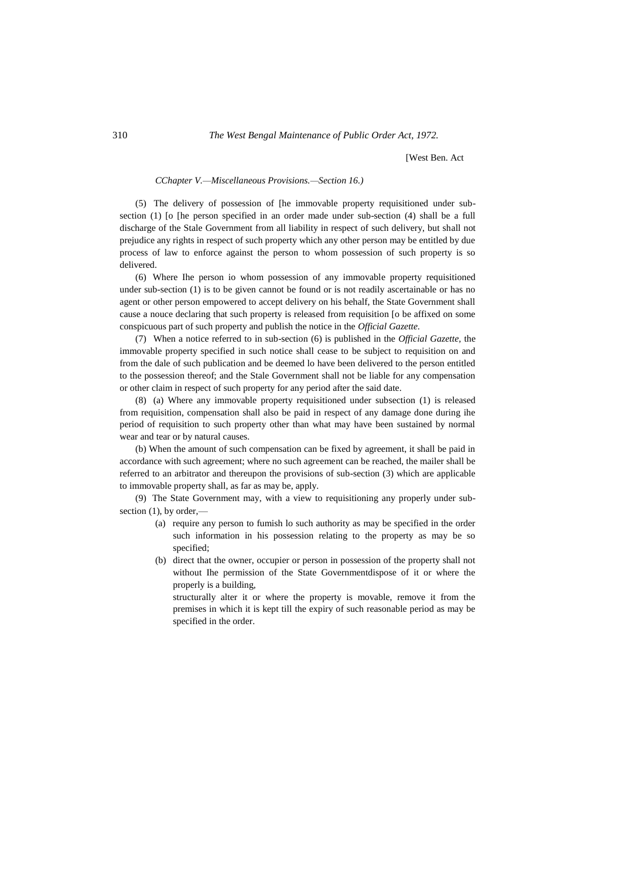#### *CChapter V.—Miscellaneous Provisions.—Section 16.)*

(5) The delivery of possession of [he immovable property requisitioned under subsection (1) [o [he person specified in an order made under sub-section (4) shall be a full discharge of the Stale Government from all liability in respect of such delivery, but shall not prejudice any rights in respect of such property which any other person may be entitled by due process of law to enforce against the person to whom possession of such property is so delivered.

(6) Where Ihe person io whom possession of any immovable property requisitioned under sub-section (1) is to be given cannot be found or is not readily ascertainable or has no agent or other person empowered to accept delivery on his behalf, the State Government shall cause a nouce declaring that such property is released from requisition [o be affixed on some conspicuous part of such property and publish the notice in the *Official Gazette.*

(7) When a notice referred to in sub-section (6) is published in the *Official Gazette,* the immovable property specified in such notice shall cease to be subject to requisition on and from the dale of such publication and be deemed lo have been delivered to the person entitled to the possession thereof; and the Stale Government shall not be liable for any compensation or other claim in respect of such property for any period after the said date.

(8) (a) Where any immovable property requisitioned under subsection (1) is released from requisition, compensation shall also be paid in respect of any damage done during ihe period of requisition to such property other than what may have been sustained by normal wear and tear or by natural causes.

(b) When the amount of such compensation can be fixed by agreement, it shall be paid in accordance with such agreement; where no such agreement can be reached, the mailer shall be referred to an arbitrator and thereupon the provisions of sub-section (3) which are applicable to immovable property shall, as far as may be, apply.

(9) The State Government may, with a view to requisitioning any properly under subsection  $(1)$ , by order,—

- (a) require any person to fumish lo such authority as may be specified in the order such information in his possession relating to the property as may be so specified;
- (b) direct that the owner, occupier or person in possession of the property shall not without Ihe permission of the State Governmentdispose of it or where the properly is a building,

structurally alter it or where the property is movable, remove it from the premises in which it is kept till the expiry of such reasonable period as may be specified in the order.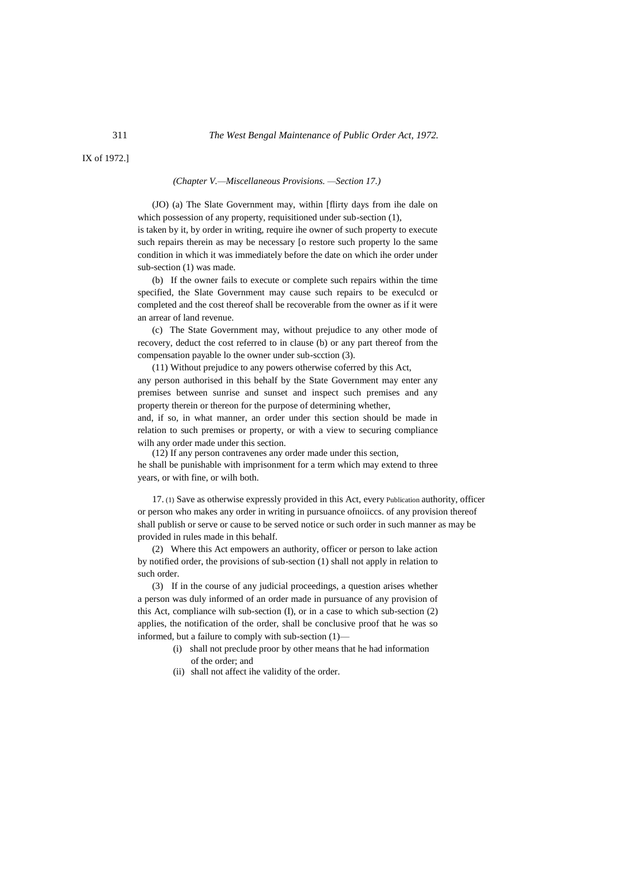IX of 1972.]

*(Chapter V.—Miscellaneous Provisions. —Section 17.)*

(JO) (a) The Slate Government may, within [flirty days from ihe dale on which possession of any property, requisitioned under sub-section (1), is taken by it, by order in writing, require ihe owner of such property to execute such repairs therein as may be necessary [o restore such property lo the same condition in which it was immediately before the date on which ihe order under sub-section (1) was made.

(b) If the owner fails to execute or complete such repairs within the time specified, the Slate Government may cause such repairs to be execulcd or completed and the cost thereof shall be recoverable from the owner as if it were an arrear of land revenue.

(c) The State Government may, without prejudice to any other mode of recovery, deduct the cost referred to in clause (b) or any part thereof from the compensation payable lo the owner under sub-scction (3).

(11) Without prejudice to any powers otherwise coferred by this Act, any person authorised in this behalf by the State Government may enter any premises between sunrise and sunset and inspect such premises and any property therein or thereon for the purpose of determining whether,

and, if so, in what manner, an order under this section should be made in relation to such premises or property, or with a view to securing compliance wilh any order made under this section.

(12) If any person contravenes any order made under this section, he shall be punishable with imprisonment for a term which may extend to three years, or with fine, or wilh both.

17. (1) Save as otherwise expressly provided in this Act, every Publication authority, officer or person who makes any order in writing in pursuance ofnoiiccs. of any provision thereof shall publish or serve or cause to be served notice or such order in such manner as may be provided in rules made in this behalf.

(2) Where this Act empowers an authority, officer or person to lake action by notified order, the provisions of sub-section (1) shall not apply in relation to such order.

(3) If in the course of any judicial proceedings, a question arises whether a person was duly informed of an order made in pursuance of any provision of this Act, compliance wilh sub-section (I), or in a case to which sub-section (2) applies, the notification of the order, shall be conclusive proof that he was so informed, but a failure to comply with sub-section (1)—

- (i) shall not preclude proor by other means that he had information of the order; and
- (ii) shall not affect ihe validity of the order.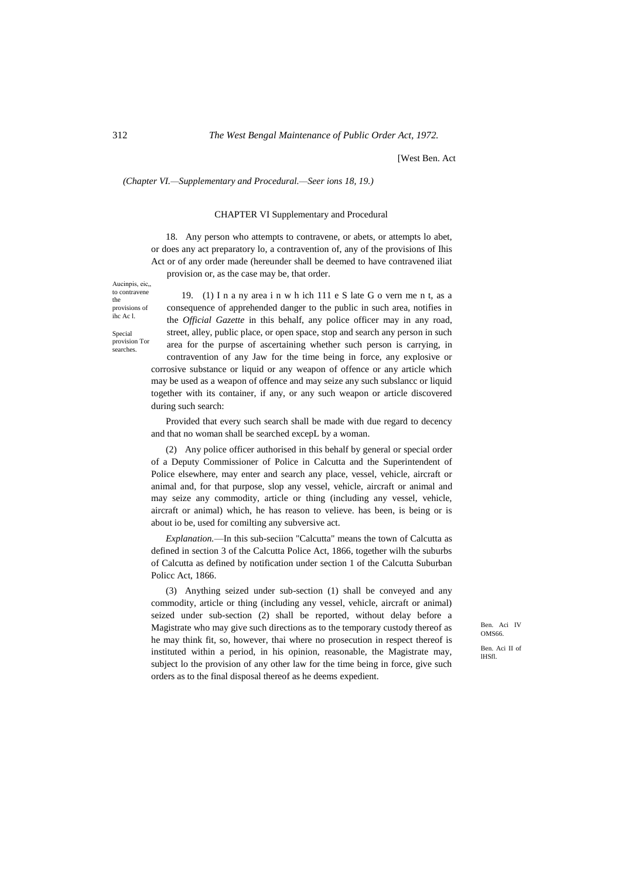*(Chapter VI.—Supplementary and Procedural.—Seer ions 18, 19.)*

#### CHAPTER VI Supplementary and Procedural

18. Any person who attempts to contravene, or abets, or attempts lo abet, or does any act preparatory lo, a contravention of, any of the provisions of Ihis Act or of any order made (hereunder shall be deemed to have contravened iliat

provision or, as the case may be, that order.

Aucinpis, eic,, to contravene the provisions of ihc Ac l.

Special provision Tor searches.

19. (1) I n a ny area i n w h ich 111 e S late G o vern me n t, as a consequence of apprehended danger to the public in such area, notifies in the *Official Gazette* in this behalf, any police officer may in any road, street, alley, public place, or open space, stop and search any person in such area for the purpse of ascertaining whether such person is carrying, in contravention of any Jaw for the time being in force, any explosive or corrosive substance or liquid or any weapon of offence or any article which may be used as a weapon of offence and may seize any such subslancc or liquid together with its container, if any, or any such weapon or article discovered during such search:

Provided that every such search shall be made with due regard to decency and that no woman shall be searched excepL by a woman.

(2) Any police officer authorised in this behalf by general or special order of a Deputy Commissioner of Police in Calcutta and the Superintendent of Police elsewhere, may enter and search any place, vessel, vehicle, aircraft or animal and, for that purpose, slop any vessel, vehicle, aircraft or animal and may seize any commodity, article or thing (including any vessel, vehicle, aircraft or animal) which, he has reason to velieve. has been, is being or is about io be, used for comilting any subversive act.

*Explanation.*—In this sub-seciion "Calcutta" means the town of Calcutta as defined in section 3 of the Calcutta Police Act, 1866, together wilh the suburbs of Calcutta as defined by notification under section 1 of the Calcutta Suburban Policc Act, 1866.

(3) Anything seized under sub-section (1) shall be conveyed and any commodity, article or thing (including any vessel, vehicle, aircraft or animal) seized under sub-section (2) shall be reported, without delay before a Magistrate who may give such directions as to the temporary custody thereof as he may think fit, so, however, thai where no prosecution in respect thereof is instituted within a period, in his opinion, reasonable, the Magistrate may, subject lo the provision of any other law for the time being in force, give such orders as to the final disposal thereof as he deems expedient.

Ben. Aci IV OMS66.

Ben. Aci II of lHSfl.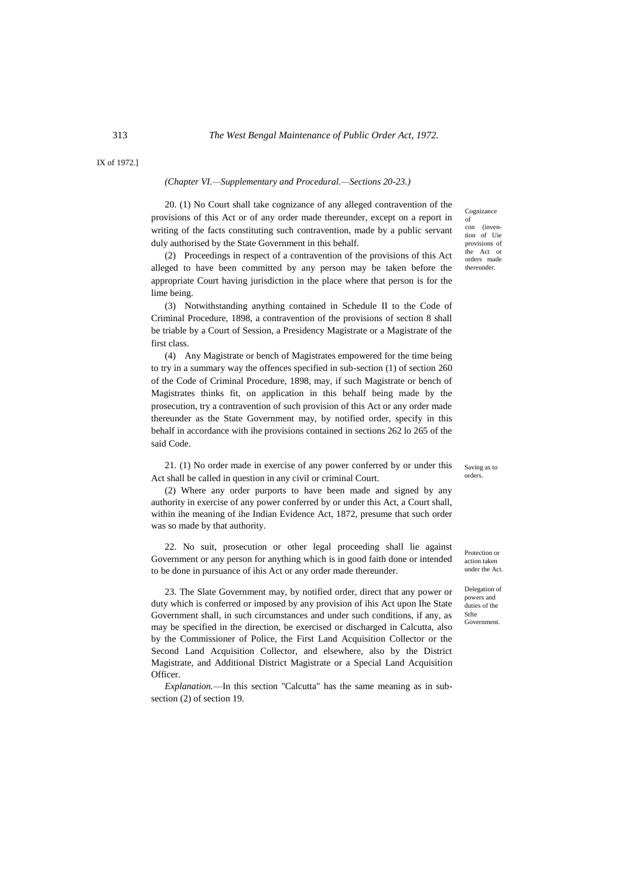IX of 1972.]

### *(Chapter VI.—Supplementary and Procedural.—Sections 20-23.)*

20. (1) No Court shall take cognizance of any alleged contravention of the provisions of this Act or of any order made thereunder, except on a report in writing of the facts constituting such contravention, made by a public servant duly authorised by the State Government in this behalf.

(2) Proceedings in respect of a contravention of the provisions of this Act alleged to have been committed by any person may be taken before the appropriate Court having jurisdiction in the place where that person is for the lime being.

(3) Notwithstanding anything contained in Schedule II to the Code of Criminal Procedure, 1898, a contravention of the provisions of section 8 shall be triable by a Court of Session, a Presidency Magistrate or a Magistrate of the first class.

(4) Any Magistrate or bench of Magistrates empowered for the time being to try in a summary way the offences specified in sub-section (1) of section 260 of the Code of Criminal Procedure, 1898, may, if such Magistrate or bench of Magistrates thinks fit, on application in this behalf being made by the prosecution, try a contravention of such provision of this Act or any order made thereunder as the State Government may, by notified order, specify in this behalf in accordance with ihe provisions contained in sections 262 lo 265 of the said Code.

21. (1) No order made in exercise of any power conferred by or under this Act shall be called in question in any civil or criminal Court.

(2) Where any order purports to have been made and signed by any authority in exercise of any power conferred by or under this Act, a Court shall, within ihe meaning of ihe Indian Evidence Act, 1872, presume that such order was so made by that authority.

22. No suit, prosecution or other legal proceeding shall lie against Government or any person for anything which is in good faith done or intended to be done in pursuance of ihis Act or any order made thereunder.

23. The Slate Government may, by notified order, direct that any power or duty which is conferred or imposed by any provision of ihis Act upon Ihe State Government shall, in such circumstances and under such conditions, if any, as may be specified in the direction, be exercised or discharged in Calcutta, also by the Commissioner of Police, the First Land Acquisition Collector or the Second Land Acquisition Collector, and elsewhere, also by the District Magistrate, and Additional District Magistrate or a Special Land Acquisition Officer.

*Explanation.*—In this section "Calcutta" has the same meaning as in subsection (2) of section 19.

Cognizance of con (invention of Uie provisions of the Act or orders made thereunder.

Saving as to orders.

Protection or action taken under the Act.

Delegation of powers and duties of the Stfte **Government**